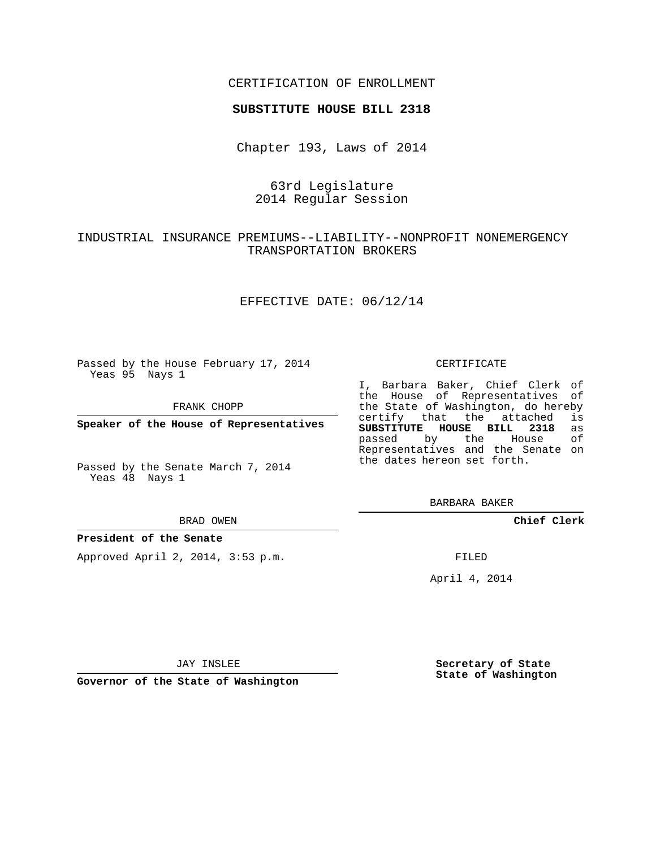## CERTIFICATION OF ENROLLMENT

### **SUBSTITUTE HOUSE BILL 2318**

Chapter 193, Laws of 2014

## 63rd Legislature 2014 Regular Session

# INDUSTRIAL INSURANCE PREMIUMS--LIABILITY--NONPROFIT NONEMERGENCY TRANSPORTATION BROKERS

### EFFECTIVE DATE: 06/12/14

Passed by the House February 17, 2014 Yeas 95 Nays 1

FRANK CHOPP

**Speaker of the House of Representatives**

Passed by the Senate March 7, 2014 Yeas 48 Nays 1

#### BRAD OWEN

### **President of the Senate**

Approved April 2, 2014, 3:53 p.m.

#### CERTIFICATE

I, Barbara Baker, Chief Clerk of the House of Representatives of the State of Washington, do hereby<br>certify that the attached is certify that the attached **SUBSTITUTE HOUSE BILL 2318** as passed by the House of Representatives and the Senate on the dates hereon set forth.

BARBARA BAKER

**Chief Clerk**

FILED

April 4, 2014

JAY INSLEE

**Governor of the State of Washington**

**Secretary of State State of Washington**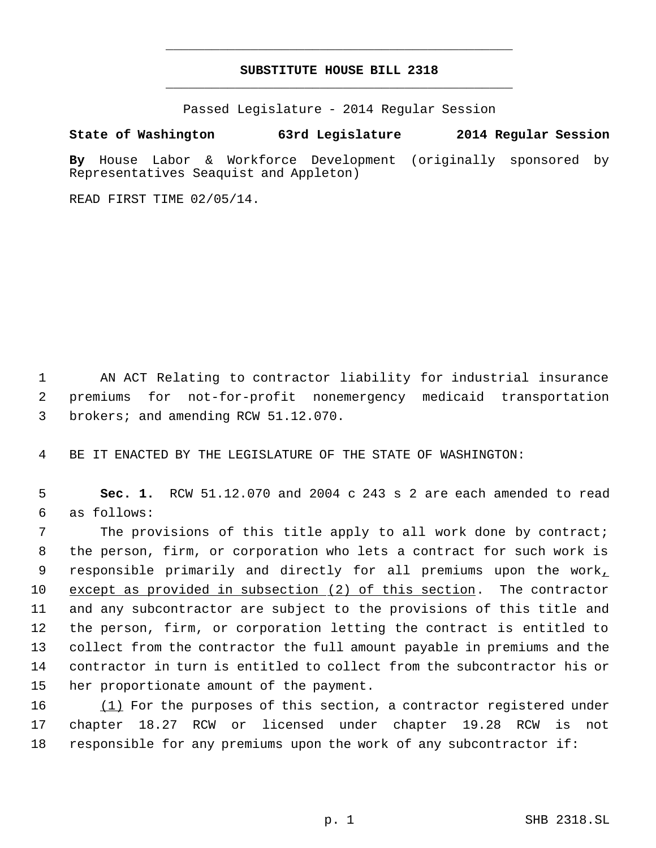# **SUBSTITUTE HOUSE BILL 2318** \_\_\_\_\_\_\_\_\_\_\_\_\_\_\_\_\_\_\_\_\_\_\_\_\_\_\_\_\_\_\_\_\_\_\_\_\_\_\_\_\_\_\_\_\_

\_\_\_\_\_\_\_\_\_\_\_\_\_\_\_\_\_\_\_\_\_\_\_\_\_\_\_\_\_\_\_\_\_\_\_\_\_\_\_\_\_\_\_\_\_

Passed Legislature - 2014 Regular Session

## **State of Washington 63rd Legislature 2014 Regular Session**

**By** House Labor & Workforce Development (originally sponsored by Representatives Seaquist and Appleton)

READ FIRST TIME 02/05/14.

 1 AN ACT Relating to contractor liability for industrial insurance 2 premiums for not-for-profit nonemergency medicaid transportation 3 brokers; and amending RCW 51.12.070.

4 BE IT ENACTED BY THE LEGISLATURE OF THE STATE OF WASHINGTON:

 5 **Sec. 1.** RCW 51.12.070 and 2004 c 243 s 2 are each amended to read 6 as follows:

7 The provisions of this title apply to all work done by contract; the person, firm, or corporation who lets a contract for such work is 9 responsible primarily and directly for all premiums upon the work, except as provided in subsection (2) of this section. The contractor and any subcontractor are subject to the provisions of this title and the person, firm, or corporation letting the contract is entitled to collect from the contractor the full amount payable in premiums and the contractor in turn is entitled to collect from the subcontractor his or her proportionate amount of the payment.

16 (1) For the purposes of this section, a contractor registered under 17 chapter 18.27 RCW or licensed under chapter 19.28 RCW is not 18 responsible for any premiums upon the work of any subcontractor if: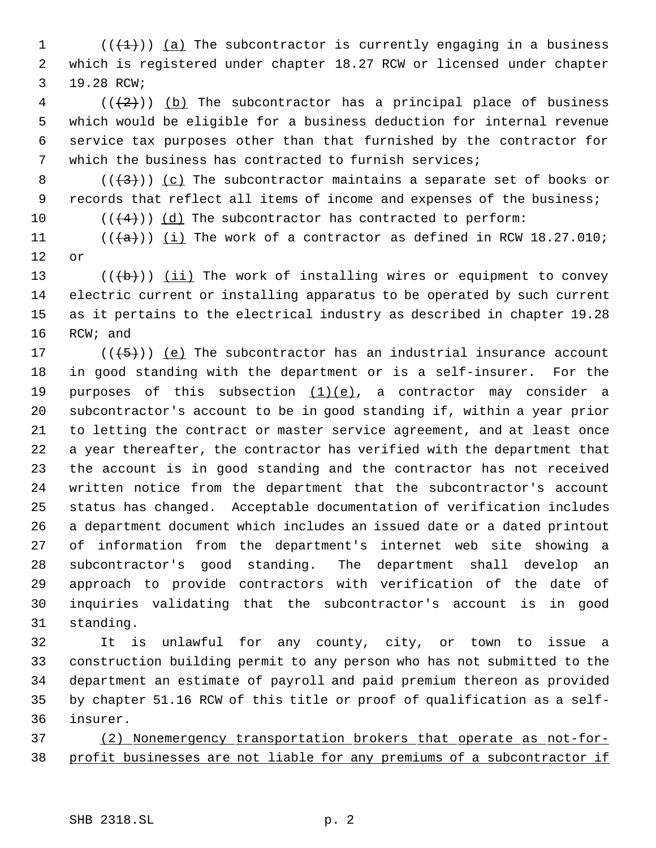$((+1))$   $(a)$  The subcontractor is currently engaging in a business which is registered under chapter 18.27 RCW or licensed under chapter 19.28 RCW;

 (( $(2)$ )) (b) The subcontractor has a principal place of business which would be eligible for a business deduction for internal revenue service tax purposes other than that furnished by the contractor for which the business has contracted to furnish services;

- 8 ( $(\frac{43}{})$ ) (c) The subcontractor maintains a separate set of books or records that reflect all items of income and expenses of the business;
- 10  $((4+))$  (d) The subcontractor has contracted to perform:

11  $((a))$   $(i)$  The work of a contractor as defined in RCW 18.27.010; or

13 ( $(\overline{b})$ ) (ii) The work of installing wires or equipment to convey electric current or installing apparatus to be operated by such current as it pertains to the electrical industry as described in chapter 19.28 RCW; and

17 ( $(\overline{5})$ ) (e) The subcontractor has an industrial insurance account in good standing with the department or is a self-insurer. For the 19 purposes of this subsection  $(1)(e)$ , a contractor may consider a subcontractor's account to be in good standing if, within a year prior to letting the contract or master service agreement, and at least once a year thereafter, the contractor has verified with the department that the account is in good standing and the contractor has not received written notice from the department that the subcontractor's account status has changed. Acceptable documentation of verification includes a department document which includes an issued date or a dated printout of information from the department's internet web site showing a subcontractor's good standing. The department shall develop an approach to provide contractors with verification of the date of inquiries validating that the subcontractor's account is in good standing.

 It is unlawful for any county, city, or town to issue a construction building permit to any person who has not submitted to the department an estimate of payroll and paid premium thereon as provided by chapter 51.16 RCW of this title or proof of qualification as a self-insurer.

 (2) Nonemergency transportation brokers that operate as not-for-profit businesses are not liable for any premiums of a subcontractor if